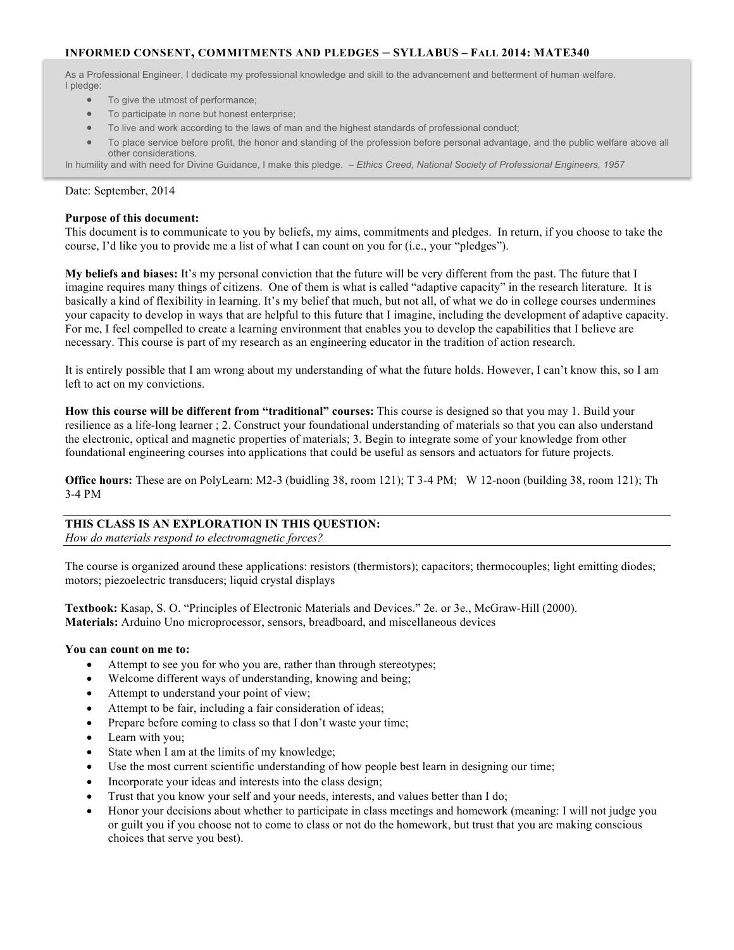# **INFORMED CONSENT, COMMITMENTS AND PLEDGES – SYLLABUS – FALL 2014: MATE340**

As a Professional Engineer, I dedicate my professional knowledge and skill to the advancement and betterment of human welfare. I pledge:

- To give the utmost of performance;
- To participate in none but honest enterprise;
- To live and work according to the laws of man and the highest standards of professional conduct;
- To place service before profit, the honor and standing of the profession before personal advantage, and the public welfare above all other considerations.

In humility and with need for Divine Guidance, I make this pledge. – *Ethics Creed, National Society of Professional Engineers, 1957*

### Date: September, 2014

### **Purpose of this document:**

This document is to communicate to you by beliefs, my aims, commitments and pledges. In return, if you choose to take the course, I'd like you to provide me a list of what I can count on you for (i.e., your "pledges").

**My beliefs and biases:** It's my personal conviction that the future will be very different from the past. The future that I imagine requires many things of citizens. One of them is what is called "adaptive capacity" in the research literature. It is basically a kind of flexibility in learning. It's my belief that much, but not all, of what we do in college courses undermines your capacity to develop in ways that are helpful to this future that I imagine, including the development of adaptive capacity. For me, I feel compelled to create a learning environment that enables you to develop the capabilities that I believe are necessary. This course is part of my research as an engineering educator in the tradition of action research.

It is entirely possible that I am wrong about my understanding of what the future holds. However, I can't know this, so I am left to act on my convictions.

**How this course will be different from "traditional" courses:** This course is designed so that you may 1. Build your resilience as a life-long learner ; 2. Construct your foundational understanding of materials so that you can also understand the electronic, optical and magnetic properties of materials; 3. Begin to integrate some of your knowledge from other foundational engineering courses into applications that could be useful as sensors and actuators for future projects.

**Office hours:** These are on PolyLearn: M2-3 (buidling 38, room 121); T 3-4 PM; W 12-noon (building 38, room 121); Th 3-4 PM

## **THIS CLASS IS AN EXPLORATION IN THIS QUESTION:**

*How do materials respond to electromagnetic forces?*

The course is organized around these applications: resistors (thermistors); capacitors; thermocouples; light emitting diodes; motors; piezoelectric transducers; liquid crystal displays

**Textbook:** Kasap, S. O. "Principles of Electronic Materials and Devices." 2e. or 3e., McGraw-Hill (2000). **Materials:** Arduino Uno microprocessor, sensors, breadboard, and miscellaneous devices

#### **You can count on me to:**

- Attempt to see you for who you are, rather than through stereotypes;
- Welcome different ways of understanding, knowing and being;
- Attempt to understand your point of view;
- Attempt to be fair, including a fair consideration of ideas;
- Prepare before coming to class so that I don't waste your time;
- Learn with you;
- State when I am at the limits of my knowledge;
- Use the most current scientific understanding of how people best learn in designing our time;
- Incorporate your ideas and interests into the class design;
- Trust that you know your self and your needs, interests, and values better than I do;
- Honor your decisions about whether to participate in class meetings and homework (meaning: I will not judge you or guilt you if you choose not to come to class or not do the homework, but trust that you are making conscious choices that serve you best).